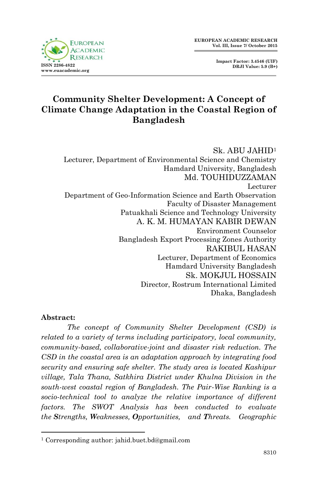**Impact Factor: 3.4546 (UIF) DRJI Value: 5.9 (B+)**



# **Community Shelter Development: A Concept of Climate Change Adaptation in the Coastal Region of Bangladesh**

Sk. ABU JAHID<sup>1</sup> Lecturer, Department of Environmental Science and Chemistry Hamdard University, Bangladesh Md. TOUHIDUZZAMAN Lecturer Department of Geo-Information Science and Earth Observation Faculty of Disaster Management Patuakhali Science and Technology University A. K. M. HUMAYAN KABIR DEWAN Environment Counselor Bangladesh Export Processing Zones Authority RAKIBUL HASAN Lecturer, Department of Economics Hamdard University Bangladesh Sk. MOKJUL HOSSAIN Director, Rostrum International Limited Dhaka, Bangladesh

#### **Abstract:**

1

*The concept of Community Shelter Development (CSD) is related to a variety of terms including participatory, local community, community-based, collaborative-joint and disaster risk reduction. The CSD in the coastal area is an adaptation approach by integrating food security and ensuring safe shelter. The study area is located Kashipur village, Tala Thana, Satkhira District under Khulna Division in the south-west coastal region of Bangladesh. The Pair-Wise Ranking is a socio-technical tool to analyze the relative importance of different factors. The SWOT Analysis has been conducted to evaluate the Strengths, Weaknesses, Opportunities, and Threats. Geographic* 

<sup>1</sup> Corresponding author: jahid.buet.bd@gmail.com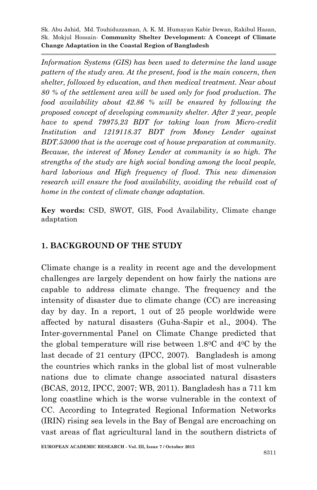*Information Systems (GIS) has been used to determine the land usage pattern of the study area. At the present, food is the main concern, then shelter, followed by education, and then medical treatment. Near about 80 % of the settlement area will be used only for food production. The food availability about 42.86 % will be ensured by following the proposed concept of developing community shelter. After 2 year, people have to spend 79975.23 BDT for taking loan from Micro-credit Institution and 1219118.37 BDT from Money Lender against BDT.53000 that is the average cost of house preparation at community. Because, the interest of Money Lender at community is so high. The strengths of the study are high social bonding among the local people, hard laborious and High frequency of flood. This new dimension research will ensure the food availability, avoiding the rebuild cost of home in the context of climate change adaptation.*

**Key words:** CSD, SWOT, GIS, Food Availability, Climate change adaptation

## **1. BACKGROUND OF THE STUDY**

Climate change is a reality in recent age and the development challenges are largely dependent on how fairly the nations are capable to address climate change. The frequency and the intensity of disaster due to climate change (CC) are increasing day by day. In a report, 1 out of 25 people worldwide were affected by natural disasters (Guha-Sapir et al.*,* 2004). The Inter-governmental Panel on Climate Change predicted that the global temperature will rise between  $1.8^{\circ}$ C and  $4^{\circ}$ C by the last decade of 21 century (IPCC, 2007). Bangladesh is among the countries which ranks in the global list of most vulnerable nations due to climate change associated natural disasters (BCAS, 2012, IPCC, 2007; WB, 2011). Bangladesh has a 711 km long coastline which is the worse vulnerable in the context of CC. According to Integrated Regional Information Networks (IRIN) rising sea levels in the Bay of Bengal are encroaching on vast areas of flat agricultural land in the southern districts of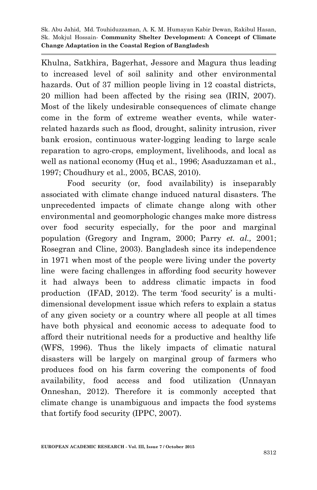Khulna, Satkhira, Bagerhat, Jessore and Magura thus leading to increased level of soil salinity and other environmental hazards. Out of 37 million people living in 12 coastal districts, 20 million had been affected by the rising sea (IRIN, 2007). Most of the likely undesirable consequences of climate change come in the form of extreme weather events, while waterrelated hazards such as flood, drought, salinity intrusion, river bank erosion, continuous water-logging leading to large scale reparation to agro-crops, employment, livelihoods, and local as well as national economy (Huq et al., 1996; Asaduzzaman et al., 1997; Choudhury et al., 2005, BCAS, 2010).

Food security (or, food availability) is inseparably associated with climate change induced natural disasters. The unprecedented impacts of climate change along with other environmental and geomorphologic changes make more distress over food security especially, for the poor and marginal population (Gregory and Ingram, 2000; Parry *et. al.,* 2001; Rosegran and Cline, 2003). Bangladesh since its independence in 1971 when most of the people were living under the poverty line were facing challenges in affording food security however it had always been to address climatic impacts in food production (IFAD, 2012). The term 'food security' is a multidimensional development issue which refers to explain a status of any given society or a country where all people at all times have both physical and economic access to adequate food to afford their nutritional needs for a productive and healthy life (WFS, 1996). Thus the likely impacts of climatic natural disasters will be largely on marginal group of farmers who produces food on his farm covering the components of food availability, food access and food utilization (Unnayan Onneshan, 2012). Therefore it is commonly accepted that climate change is unambiguous and impacts the food systems that fortify food security (IPPC, 2007).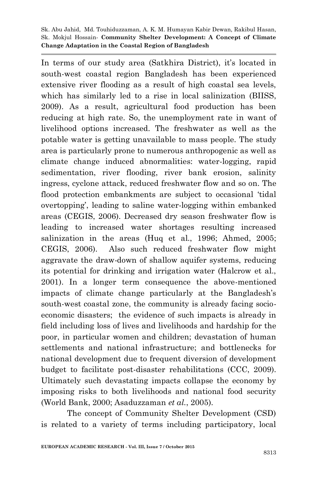In terms of our study area (Satkhira District), it's located in south-west coastal region Bangladesh has been experienced extensive river flooding as a result of high coastal sea levels, which has similarly led to a rise in local salinization (BIISS, 2009). As a result, agricultural food production has been reducing at high rate. So, the unemployment rate in want of livelihood options increased. The freshwater as well as the potable water is getting unavailable to mass people. The study area is particularly prone to numerous anthropogenic as well as climate change induced abnormalities: water-logging, rapid sedimentation, river flooding, river bank erosion, salinity ingress, cyclone attack, reduced freshwater flow and so on. The flood protection embankments are subject to occasional "tidal overtopping", leading to saline water-logging within embanked areas (CEGIS, 2006). Decreased dry season freshwater flow is leading to increased water shortages resulting increased salinization in the areas (Huq et al., 1996; Ahmed, 2005; CEGIS, 2006). Also such reduced freshwater flow might aggravate the draw-down of shallow aquifer systems, reducing its potential for drinking and irrigation water (Halcrow et al., 2001). In a longer term consequence the above-mentioned impacts of climate change particularly at the Bangladesh"s south-west coastal zone, the community is already facing socioeconomic disasters; the evidence of such impacts is already in field including loss of lives and livelihoods and hardship for the poor, in particular women and children; devastation of human settlements and national infrastructure; and bottlenecks for national development due to frequent diversion of development budget to facilitate post-disaster rehabilitations (CCC, 2009). Ultimately such devastating impacts collapse the economy by imposing risks to both livelihoods and national food security (World Bank, 2000; Asaduzzaman *et al.*, 2005).

The concept of Community Shelter Development (CSD) is related to a variety of terms including participatory, local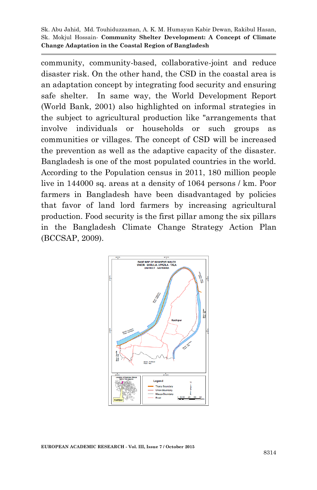community, community-based, collaborative-joint and reduce disaster risk. On the other hand, the CSD in the coastal area is an adaptation concept by integrating food security and ensuring safe shelter. In same way, the World Development Report (World Bank, 2001) also highlighted on informal strategies in the subject to agricultural production like "arrangements that involve individuals or households or such groups as communities or villages. The concept of CSD will be increased the prevention as well as the adaptive capacity of the disaster. Bangladesh is one of the most populated countries in the world. According to the Population census in 2011, 180 million people live in 144000 sq. areas at a density of 1064 persons / km. Poor farmers in Bangladesh have been disadvantaged by policies that favor of land lord farmers by increasing agricultural production. Food security is the first pillar among the six pillars in the Bangladesh Climate Change Strategy Action Plan (BCCSAP, 2009).

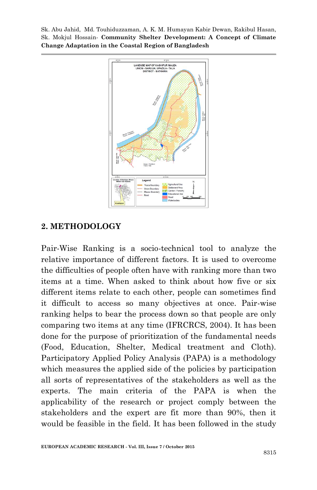

### **2. METHODOLOGY**

Pair-Wise Ranking is a socio-technical tool to analyze the relative importance of different factors. It is used to overcome the difficulties of people often have with ranking more than two items at a time. When asked to think about how five or six different items relate to each other, people can sometimes find it difficult to access so many objectives at once. Pair-wise ranking helps to bear the process down so that people are only comparing two items at any time (IFRCRCS, 2004). It has been done for the purpose of prioritization of the fundamental needs (Food, Education, Shelter, Medical treatment and Cloth). Participatory Applied Policy Analysis (PAPA) is a methodology which measures the applied side of the policies by participation all sorts of representatives of the stakeholders as well as the experts. The main criteria of the PAPA is when the applicability of the research or project comply between the stakeholders and the expert are fit more than 90%, then it would be feasible in the field. It has been followed in the study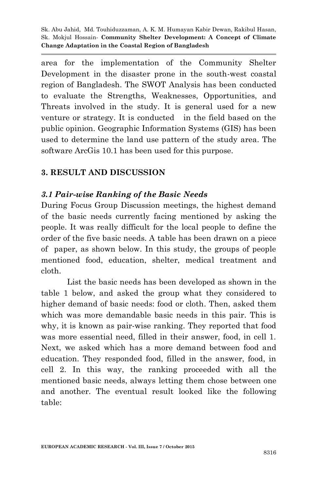area for the implementation of the Community Shelter Development in the disaster prone in the south-west coastal region of Bangladesh. The SWOT Analysis has been conducted to evaluate the Strengths, Weaknesses, Opportunities, and Threats involved in the study. It is general used for a new venture or strategy. It is conducted in the field based on the public opinion. Geographic Information Systems (GIS) has been used to determine the land use pattern of the study area. The software ArcGis 10.1 has been used for this purpose.

### **3. RESULT AND DISCUSSION**

#### *3.1 Pair-wise Ranking of the Basic Needs*

During Focus Group Discussion meetings, the highest demand of the basic needs currently facing mentioned by asking the people. It was really difficult for the local people to define the order of the five basic needs. A table has been drawn on a piece of paper, as shown below. In this study, the groups of people mentioned food, education, shelter, medical treatment and cloth.

List the basic needs has been developed as shown in the table 1 below, and asked the group what they considered to higher demand of basic needs: food or cloth. Then, asked them which was more demandable basic needs in this pair. This is why, it is known as pair-wise ranking. They reported that food was more essential need, filled in their answer, food, in cell 1. Next, we asked which has a more demand between food and education. They responded food, filled in the answer, food, in cell 2. In this way, the ranking proceeded with all the mentioned basic needs, always letting them chose between one and another. The eventual result looked like the following table: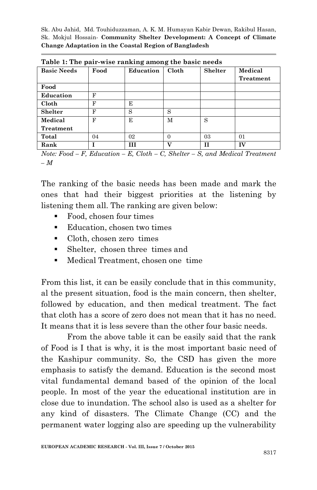| Table 1. The pair-wise rainting among the basic neeus |      |           |          |                |           |  |
|-------------------------------------------------------|------|-----------|----------|----------------|-----------|--|
| <b>Basic Needs</b>                                    | Food | Education | Cloth    | <b>Shelter</b> | Medical   |  |
|                                                       |      |           |          |                | Treatment |  |
| Food                                                  |      |           |          |                |           |  |
| Education                                             | F    |           |          |                |           |  |
| Cloth                                                 | F    | E         |          |                |           |  |
| <b>Shelter</b>                                        | F    | S         | S        |                |           |  |
| Medical                                               | F    | E         | М        | S              |           |  |
| Treatment                                             |      |           |          |                |           |  |
| Total                                                 | 04   | 02        | $\theta$ | 03             | 01        |  |
| Rank                                                  |      | HІ        | 37       | Н              | TV        |  |

**Table 1: The pair-wise ranking among the basic needs**

*Note: Food – F, Education – E, Cloth – C, Shelter – S, and Medical Treatment – M*

The ranking of the basic needs has been made and mark the ones that had their biggest priorities at the listening by listening them all. The ranking are given below:

- Food, chosen four times
- Education, chosen two times
- Cloth, chosen zero times
- Shelter, chosen three times and
- Medical Treatment, chosen one time

From this list, it can be easily conclude that in this community, al the present situation, food is the main concern, then shelter, followed by education, and then medical treatment. The fact that cloth has a score of zero does not mean that it has no need. It means that it is less severe than the other four basic needs.

From the above table it can be easily said that the rank of Food is I that is why, it is the most important basic need of the Kashipur community. So, the CSD has given the more emphasis to satisfy the demand. Education is the second most vital fundamental demand based of the opinion of the local people. In most of the year the educational institution are in close due to inundation. The school also is used as a shelter for any kind of disasters. The Climate Change (CC) and the permanent water logging also are speeding up the vulnerability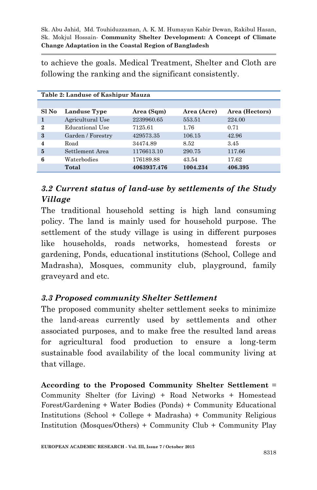to achieve the goals. Medical Treatment, Shelter and Cloth are following the ranking and the significant consistently.

| Table 2: Landuse of Kashipur Mauza |                   |             |             |                |  |
|------------------------------------|-------------------|-------------|-------------|----------------|--|
|                                    |                   |             |             |                |  |
| Sl No                              | Landuse Type      | Area (Sqm)  | Area (Acre) | Area (Hectors) |  |
|                                    | Agricultural Use  | 2239960.65  | 553.51      | 224.00         |  |
| $\boldsymbol{2}$                   | Educational Use   | 7125.61     | 1.76        | 0.71           |  |
| $\boldsymbol{\mathcal{S}}$         | Garden / Forestry | 429573.35   | 106.15      | 42.96          |  |
| 4                                  | Road              | 34474.89    | 8.52        | 3.45           |  |
| 5                                  | Settlement Area   | 1176613.10  | 290.75      | 117.66         |  |
| 6                                  | Waterbodies       | 176189.88   | 43.54       | 17.62          |  |
|                                    | Total             | 4063937.476 | 1004.234    | 406.395        |  |

# *3.2 Current status of land-use by settlements of the Study Village*

The traditional household setting is high land consuming policy. The land is mainly used for household purpose. The settlement of the study village is using in different purposes like households, roads networks, homestead forests or gardening, Ponds, educational institutions (School, College and Madrasha), Mosques, community club, playground, family graveyard and etc.

## *3.3 Proposed community Shelter Settlement*

The proposed community shelter settlement seeks to minimize the land-areas currently used by settlements and other associated purposes, and to make free the resulted land areas for agricultural food production to ensure a long-term sustainable food availability of the local community living at that village.

**According to the Proposed Community Shelter Settlement** = Community Shelter (for Living) + Road Networks + Homestead Forest/Gardening + Water Bodies (Ponds) + Community Educational Institutions (School + College + Madrasha) + Community Religious Institution (Mosques/Others) + Community Club + Community Play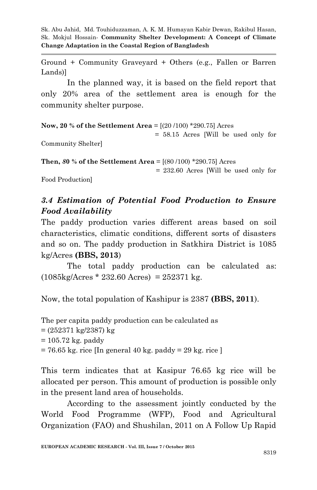Ground + Community Graveyard + Others (e.g., Fallen or Barren Lands)]

In the planned way, it is based on the field report that only 20% area of the settlement area is enough for the community shelter purpose.

**Now, 20 % of the Settlement Area** = [(20 /100) \*290.75] Acres

 = 58.15 Acres [Will be used only for Community Shelter]

**Then,** *8***0 % of the Settlement Area** = [(80 /100) \*290.75] Acres

= 232.60 Acres [Will be used only for

Food Production]

## *3.4 Estimation of Potential Food Production to Ensure Food Availability*

The paddy production varies different areas based on soil characteristics, climatic conditions, different sorts of disasters and so on. The paddy production in Satkhira District is 1085 kg/Acres **(BBS, 2013**)

The total paddy production can be calculated as:  $(1085 \text{kg/Acres} * 232.60 \text{Acres}) = 252371 \text{ kg}.$ 

Now, the total population of Kashipur is 2387 **(BBS, 2011**).

The per capita paddy production can be calculated as = (252371 kg/2387) kg  $= 105.72$  kg. paddy = 76.65 kg. rice [In general 40 kg. paddy = 29 kg. rice ]

This term indicates that at Kasipur 76.65 kg rice will be allocated per person. This amount of production is possible only in the present land area of households.

According to the assessment jointly conducted by the World Food Programme (WFP), Food and Agricultural Organization (FAO) and Shushilan, 2011 on A Follow Up Rapid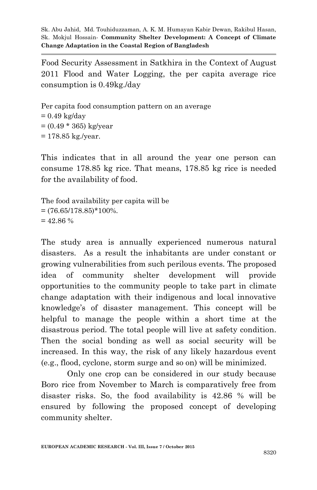Food Security Assessment in Satkhira in the Context of August 2011 Flood and Water Logging, the per capita average rice consumption is 0.49kg./day

Per capita food consumption pattern on an average  $= 0.49$  kg/day  $= (0.49 * 365) \text{ kg/year}$  $= 178.85 \text{ kg./year}.$ 

This indicates that in all around the year one person can consume 178.85 kg rice. That means, 178.85 kg rice is needed for the availability of food.

The food availability per capita will be  $=(76.65/178.85)*100\%$ .  $= 42.86 %$ 

The study area is annually experienced numerous natural disasters. As a result the inhabitants are under constant or growing vulnerabilities from such perilous events. The proposed idea of community shelter development will provide opportunities to the community people to take part in climate change adaptation with their indigenous and local innovative knowledge"s of disaster management. This concept will be helpful to manage the people within a short time at the disastrous period. The total people will live at safety condition. Then the social bonding as well as social security will be increased. In this way, the risk of any likely hazardous event (e.g., flood, cyclone, storm surge and so on) will be minimized.

Only one crop can be considered in our study because Boro rice from November to March is comparatively free from disaster risks. So, the food availability is 42.86 % will be ensured by following the proposed concept of developing community shelter.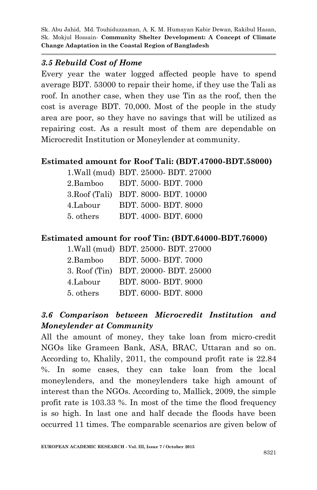### *3.5 Rebuild Cost of Home*

Every year the water logged affected people have to spend average BDT. 53000 to repair their home, if they use the Tali as roof. In another case, when they use Tin as the roof, then the cost is average BDT. 70,000. Most of the people in the study area are poor, so they have no savings that will be utilized as repairing cost. As a result most of them are dependable on Microcredit Institution or Moneylender at community.

## **Estimated amount for Roof Tali: (BDT.47000-BDT.58000)**

|           | 1. Wall (mud) BDT. 25000- BDT. 27000 |
|-----------|--------------------------------------|
| 2.Bamboo  | BDT. 5000-BDT. 7000                  |
|           | 3. Roof (Tali) BDT. 8000- BDT. 10000 |
| 4.Labour  | BDT. 5000-BDT. 8000                  |
| 5. others | BDT. 4000-BDT. 6000                  |
|           |                                      |

### **Estimated amount for roof Tin: (BDT.64000-BDT.76000)**

|           | 1. Wall (mud) BDT. 25000- BDT. 27000 |
|-----------|--------------------------------------|
| 2.Bamboo  | BDT. 5000- BDT. 7000                 |
|           | 3. Roof (Tin) BDT. 20000- BDT. 25000 |
| 4.Labour  | BDT. 8000- BDT. 9000                 |
| 5. others | BDT. 6000-BDT. 8000                  |

# *3.6 Comparison between Microcredit Institution and Moneylender at Community*

All the amount of money, they take loan from micro-credit NGOs like Grameen Bank, ASA, BRAC, Uttaran and so on. According to, Khalily, 2011, the compound profit rate is 22.84 %. In some cases, they can take loan from the local moneylenders, and the moneylenders take high amount of interest than the NGOs. According to, Mallick, 2009, the simple profit rate is 103.33 %. In most of the time the flood frequency is so high. In last one and half decade the floods have been occurred 11 times. The comparable scenarios are given below of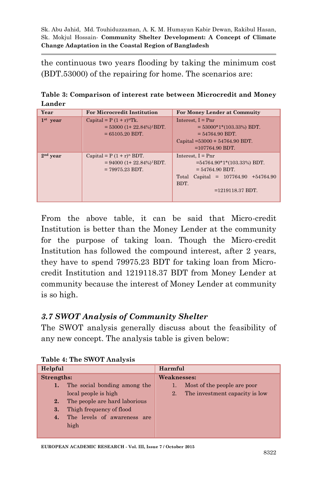the continuous two years flooding by taking the minimum cost (BDT.53000) of the repairing for home. The scenarios are:

**Table 3: Comparison of interest rate between Microcredit and Money Lander**

| Year       | <b>For Microcredit Institution</b>        | <b>For Money Lender at Commuity</b>      |  |  |
|------------|-------------------------------------------|------------------------------------------|--|--|
| $1st$ year | Capital = $P(1 + r)^n$ Tk.                | Interest, $I = Pnr$                      |  |  |
|            | $=$ 53000 (1+ 22.84%) <sup>1</sup> BDT.   | $=$ 53000*1*(103.33%) BDT.               |  |  |
|            | $= 65105.20$ BDT.                         | $= 54764.90$ BDT.                        |  |  |
|            |                                           | Capital = $53000 + 54764.90$ BDT.        |  |  |
|            |                                           | $=107764.90$ BDT.                        |  |  |
| $2nd$ year | Capital = $P(1 + r)^n$ BDT.               | Interest, $I = Pnr$                      |  |  |
|            | $= 94000 (1 + 22.84\%)$ <sup>1</sup> BDT. | $=54764.90*1*(103.33%) BDT.$             |  |  |
|            | $= 79975.23$ BDT.                         | $= 54764.90$ BDT.                        |  |  |
|            |                                           | Capital = $107764.90 +54764.90$<br>Total |  |  |
|            |                                           | BDT.                                     |  |  |
|            |                                           | $=1219118.37$ BDT.                       |  |  |
|            |                                           |                                          |  |  |

From the above table, it can be said that Micro-credit Institution is better than the Money Lender at the community for the purpose of taking loan. Though the Micro-credit Institution has followed the compound interest, after 2 years, they have to spend 79975.23 BDT for taking loan from Microcredit Institution and 1219118.37 BDT from Money Lender at community because the interest of Money Lender at community is so high.

### *3.7 SWOT Analysis of Community Shelter*

The SWOT analysis generally discuss about the feasibility of any new concept. The analysis table is given below:

| Helpful    |                               | Harmful            |                                |  |  |
|------------|-------------------------------|--------------------|--------------------------------|--|--|
| Strengths: |                               | <b>Weaknesses:</b> |                                |  |  |
| 1.         | The social bonding among the  |                    | Most of the people are poor    |  |  |
|            | local people is high          | 2.                 | The investment capacity is low |  |  |
| 2.         | The people are hard laborious |                    |                                |  |  |
| 3.         | Thigh frequency of flood      |                    |                                |  |  |
| 4.         | The levels of awareness are   |                    |                                |  |  |
|            | high                          |                    |                                |  |  |
|            |                               |                    |                                |  |  |

**Table 4: The SWOT Analysis**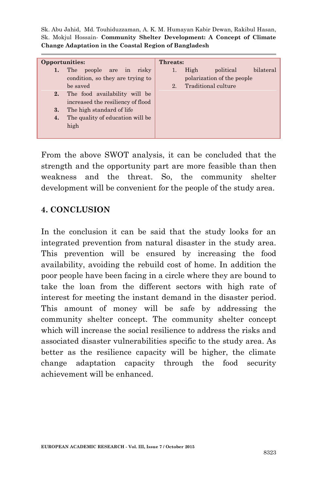| Opportunities: |                                   | Threats: |      |                            |           |
|----------------|-----------------------------------|----------|------|----------------------------|-----------|
| 1.             | The people are in<br>risky        | 1.       | High | political                  | bilateral |
|                | condition, so they are trying to  |          |      | polarization of the people |           |
|                | be saved                          | 2.       |      | Traditional culture        |           |
| 2.             | The food availability will be     |          |      |                            |           |
|                | increased the resiliency of flood |          |      |                            |           |
| 3.             | The high standard of life         |          |      |                            |           |
| 4.             | The quality of education will be  |          |      |                            |           |
|                | high                              |          |      |                            |           |
|                |                                   |          |      |                            |           |

From the above SWOT analysis, it can be concluded that the strength and the opportunity part are more feasible than then weakness and the threat. So, the community shelter development will be convenient for the people of the study area.

### **4. CONCLUSION**

In the conclusion it can be said that the study looks for an integrated prevention from natural disaster in the study area. This prevention will be ensured by increasing the food availability, avoiding the rebuild cost of home. In addition the poor people have been facing in a circle where they are bound to take the loan from the different sectors with high rate of interest for meeting the instant demand in the disaster period. This amount of money will be safe by addressing the community shelter concept. The community shelter concept which will increase the social resilience to address the risks and associated disaster vulnerabilities specific to the study area. As better as the resilience capacity will be higher, the climate change adaptation capacity through the food security achievement will be enhanced.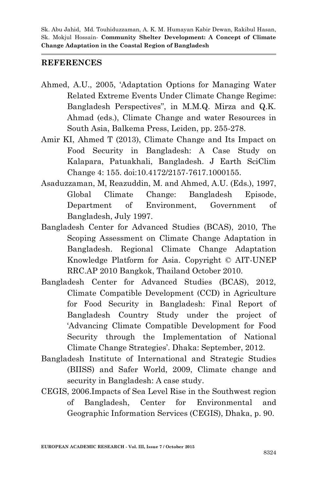#### **REFERENCES**

- Ahmed, A.U., 2005, "Adaptation Options for Managing Water Related Extreme Events Under Climate Change Regime: Bangladesh Perspectives", in M.M.Q. Mirza and Q.K. Ahmad (eds.), Climate Change and water Resources in South Asia, Balkema Press, Leiden, pp. 255-278.
- Amir KI, Ahmed T (2013), Climate Change and Its Impact on Food Security in Bangladesh: A Case Study on Kalapara, Patuakhali, Bangladesh. J Earth SciClim Change 4: 155. doi:10.4172/2157-7617.1000155.
- Asaduzzaman, M, Reazuddin, M. and Ahmed, A.U. (Eds.), 1997, Global Climate Change: Bangladesh Episode, Department of Environment, Government of Bangladesh, July 1997.
- Bangladesh Center for Advanced Studies (BCAS), 2010, The Scoping Assessment on Climate Change Adaptation in Bangladesh. Regional Climate Change Adaptation Knowledge Platform for Asia. Copyright © AIT-UNEP RRC.AP 2010 Bangkok, Thailand October 2010.
- Bangladesh Center for Advanced Studies (BCAS), 2012, Climate Compatible Development (CCD) in Agriculture for Food Security in Bangladesh: Final Report of Bangladesh Country Study under the project of "Advancing Climate Compatible Development for Food Security through the Implementation of National Climate Change Strategies". Dhaka: September, 2012.
- Bangladesh Institute of International and Strategic Studies (BIISS) and Safer World, 2009, Climate change and security in Bangladesh: A case study.
- CEGIS, 2006.Impacts of Sea Level Rise in the Southwest region of Bangladesh, Center for Environmental and Geographic Information Services (CEGIS), Dhaka, p. 90.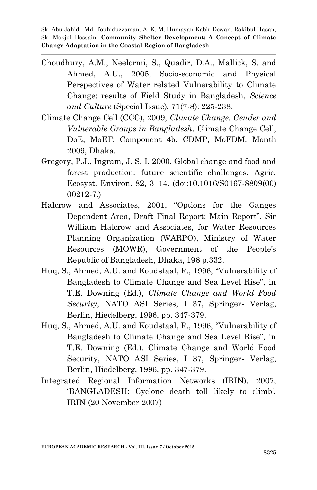- Choudhury, A.M., Neelormi, S., Quadir, D.A., Mallick, S. and Ahmed, A.U., 2005, Socio-economic and Physical Perspectives of Water related Vulnerability to Climate Change: results of Field Study in Bangladesh, *Science and Culture* (Special Issue), 71(7-8): 225-238.
- Climate Change Cell (CCC), 2009, *Climate Change, Gender and Vulnerable Groups in Bangladesh*. Climate Change Cell, DoE, MoEF; Component 4b, CDMP, MoFDM. Month 2009, Dhaka.
- Gregory, P.J., Ingram, J. S. I. 2000, Global change and food and forest production: future scientific challenges. Agric. Ecosyst. Environ. 82, 3–14. (doi:10.1016/S0167-8809(00) 00212-7.)
- Halcrow and Associates, 2001, "Options for the Ganges Dependent Area, Draft Final Report: Main Report", Sir William Halcrow and Associates, for Water Resources Planning Organization (WARPO), Ministry of Water Resources (MOWR), Government of the People"s Republic of Bangladesh, Dhaka, 198 p.332.
- Huq, S., Ahmed, A.U. and Koudstaal, R., 1996, "Vulnerability of Bangladesh to Climate Change and Sea Level Rise", in T.E. Downing (Ed.), *Climate Change and World Food Security*, NATO ASI Series, I 37, Springer- Verlag, Berlin, Hiedelberg, 1996, pp. 347-379.
- Huq, S., Ahmed, A.U. and Koudstaal, R., 1996, "Vulnerability of Bangladesh to Climate Change and Sea Level Rise", in T.E. Downing (Ed.), Climate Change and World Food Security, NATO ASI Series, I 37, Springer- Verlag, Berlin, Hiedelberg, 1996, pp. 347-379.
- Integrated Regional Information Networks (IRIN), 2007, 'BANGLADESH: Cyclone death toll likely to climb', IRIN (20 November 2007)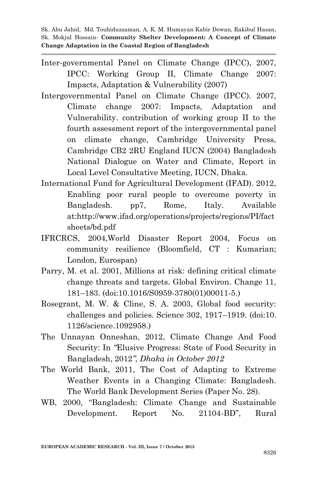- Inter-governmental Panel on Climate Change (IPCC), 2007, IPCC: Working Group II, Climate Change 2007: Impacts, Adaptation & Vulnerability (2007)
- Intergovernmental Panel on Climate Change (IPCC). 2007, Climate change 2007: Impacts, Adaptation and Vulnerability. contribution of working group II to the fourth assessment report of the intergovernmental panel on climate change, Cambridge University Press, Cambridge CB2 2RU England IUCN (2004) Bangladesh National Dialogue on Water and Climate, Report in Local Level Consultative Meeting, IUCN, Dhaka.
- International Fund for Agricultural Development (IFAD). 2012, Enabling poor rural people to overcome poverty in Bangladesh. pp7, Rome, Italy. Available at:http://www.ifad.org/operations/projects/regions/PI/fact sheets/bd.pdf
- IFRCRCS, 2004,World Disaster Report 2004, Focus on community resilience (Bloomfield, CT : Kumarian; London, Eurospan)
- Parry, M. et al. 2001, Millions at risk: defining critical climate change threats and targets. Global Environ. Change 11, 181–183. (doi:10.1016/S0959-3780(01)00011-5.)
- Rosegrant, M. W. & Cline, S. A. 2003, Global food security: challenges and policies. Science 302, 1917–1919. (doi:10. 1126/science.1092958.)
- The Unnayan Onneshan, 2012, Climate Change And Food Security: In *"*Elusive Progress: State of Food Security in Bangladesh, 2012*", Dhaka in October 2012*
- The World Bank, 2011, The Cost of Adapting to Extreme Weather Events in a Changing Climate: Bangladesh. The World Bank Development Series (Paper No. 28).
- WB, 2000, "Bangladesh: Climate Change and Sustainable Development. Report No. 21104-BD", Rural